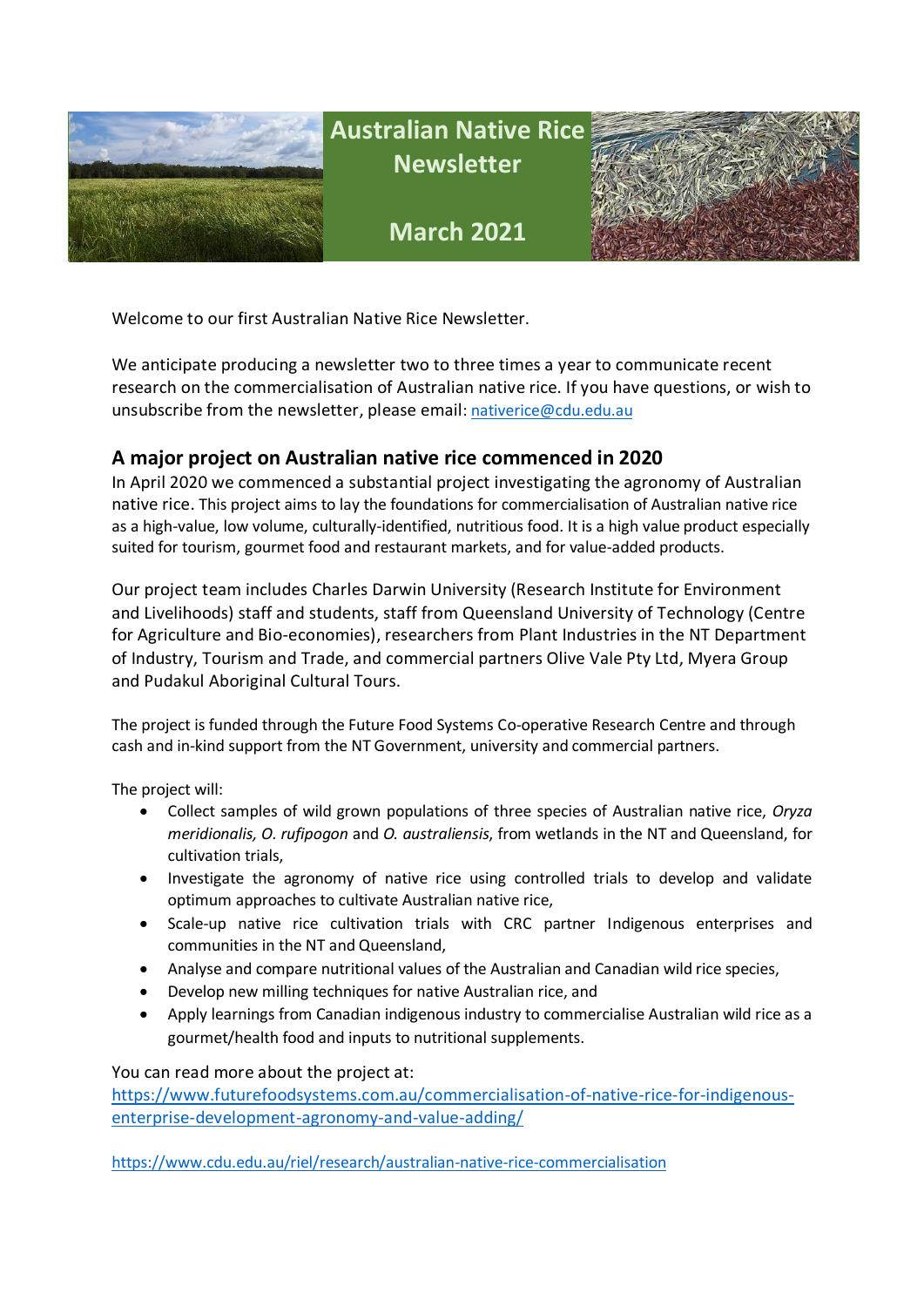

Welcome to our first Australian Native Rice Newsletter.

We anticipate producing a newsletter two to three times a year to communicate recent research on the commercialisation of Australian native rice. If you have questions, or wish to unsubscribe from the newsletter, please email[: nativerice@cdu.edu.au](mailto:nativerice@cdu.edu.au)

## **A major project on Australian native rice commenced in 2020**

In April 2020 we commenced a substantial project investigating the agronomy of Australian native rice. This project aims to lay the foundations for commercialisation of Australian native rice as a high-value, low volume, culturally-identified, nutritious food. It is a high value product especially suited for tourism, gourmet food and restaurant markets, and for value-added products.

Our project team includes Charles Darwin University (Research Institute for Environment and Livelihoods) staff and students, staff from Queensland University of Technology (Centre for Agriculture and Bio-economies), researchers from Plant Industries in the NT Department of Industry, Tourism and Trade, and commercial partners Olive Vale Pty Ltd, Myera Group and Pudakul Aboriginal Cultural Tours.

The project is funded through the Future Food Systems Co-operative Research Centre and through cash and in-kind support from the NT Government, university and commercial partners.

The project will:

- Collect samples of wild grown populations of three species of Australian native rice, *Oryza meridionalis, O. rufipogon* and *O. australiensis*, from wetlands in the NT and Queensland, for cultivation trials,
- Investigate the agronomy of native rice using controlled trials to develop and validate optimum approaches to cultivate Australian native rice,
- Scale-up native rice cultivation trials with CRC partner Indigenous enterprises and communities in the NT and Queensland,
- Analyse and compare nutritional values of the Australian and Canadian wild rice species,
- Develop new milling techniques for native Australian rice, and
- Apply learnings from Canadian indigenous industry to commercialise Australian wild rice as a gourmet/health food and inputs to nutritional supplements.

You can read more about the project at: [https://www.futurefoodsystems.com.au/commercialisation-of-native-rice-for-indigenous](https://www.futurefoodsystems.com.au/commercialisation-of-native-rice-for-indigenous-enterprise-development-agronomy-and-value-adding/)[enterprise-development-agronomy-and-value-adding/](https://www.futurefoodsystems.com.au/commercialisation-of-native-rice-for-indigenous-enterprise-development-agronomy-and-value-adding/)

<https://www.cdu.edu.au/riel/research/australian-native-rice-commercialisation>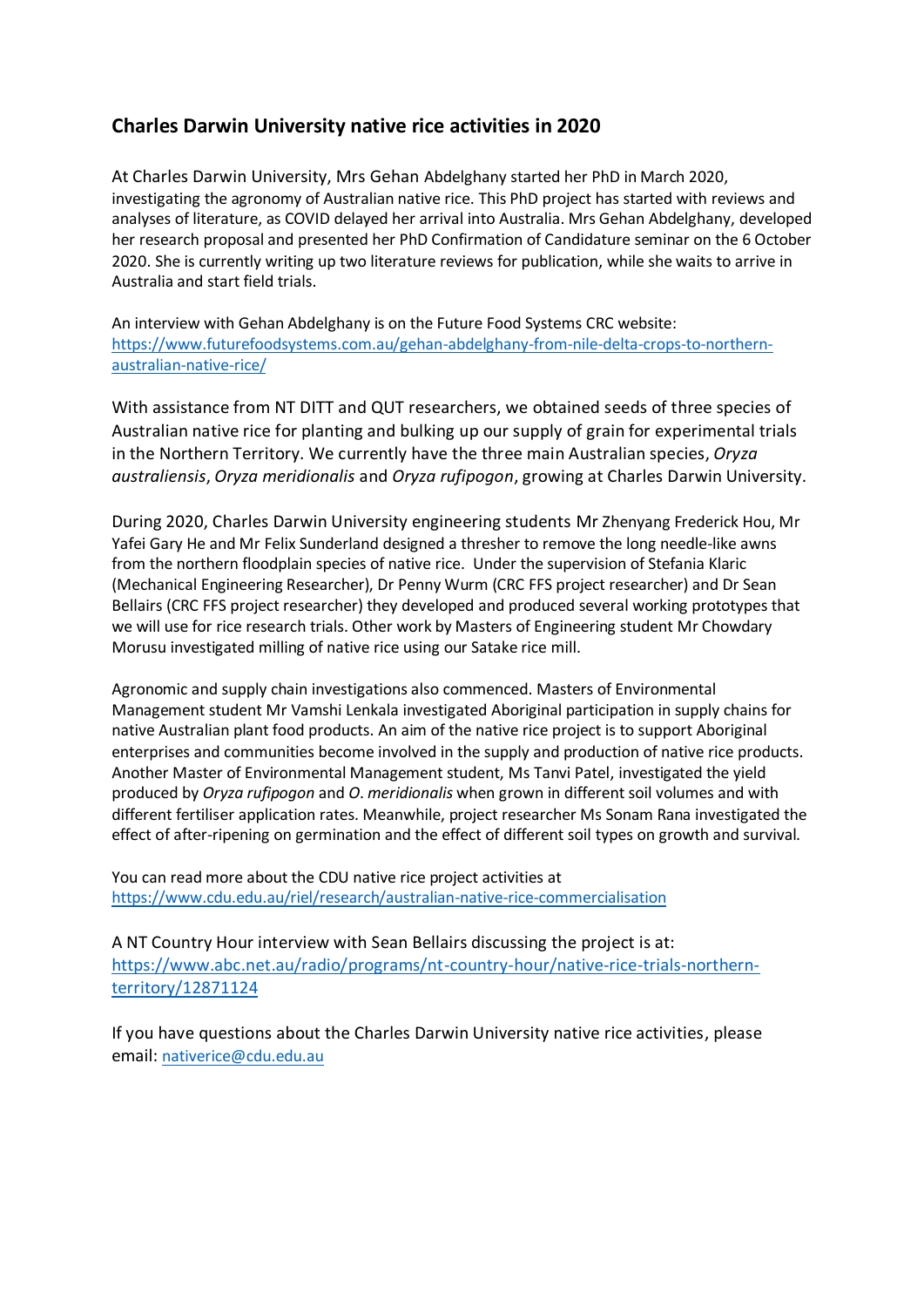## **Charles Darwin University native rice activities in 2020**

At Charles Darwin University, Mrs Gehan Abdelghany started her PhD in March 2020, investigating the agronomy of Australian native rice. This PhD project has started with reviews and analyses of literature, as COVID delayed her arrival into Australia. Mrs Gehan Abdelghany, developed her research proposal and presented her PhD Confirmation of Candidature seminar on the 6 October 2020. She is currently writing up two literature reviews for publication, while she waits to arrive in Australia and start field trials.

An interview with Gehan Abdelghany is on the Future Food Systems CRC website: [https://www.futurefoodsystems.com.au/gehan-abdelghany-from-nile-delta-crops-to-northern](https://www.futurefoodsystems.com.au/gehan-abdelghany-from-nile-delta-crops-to-northern-australian-native-rice/)[australian-native-rice/](https://www.futurefoodsystems.com.au/gehan-abdelghany-from-nile-delta-crops-to-northern-australian-native-rice/)

With assistance from NT DITT and QUT researchers, we obtained seeds of three species of Australian native rice for planting and bulking up our supply of grain for experimental trials in the Northern Territory. We currently have the three main Australian species, *Oryza australiensis*, *Oryza meridionalis* and *Oryza rufipogon*, growing at Charles Darwin University.

During 2020, Charles Darwin University engineering students Mr Zhenyang Frederick Hou, Mr Yafei Gary He and Mr Felix Sunderland designed a thresher to remove the long needle-like awns from the northern floodplain species of native rice. Under the supervision of Stefania Klaric (Mechanical Engineering Researcher), Dr Penny Wurm (CRC FFS project researcher) and Dr Sean Bellairs (CRC FFS project researcher) they developed and produced several working prototypes that we will use for rice research trials. Other work by Masters of Engineering student Mr Chowdary Morusu investigated milling of native rice using our Satake rice mill.

Agronomic and supply chain investigations also commenced. Masters of Environmental Management student Mr Vamshi Lenkala investigated Aboriginal participation in supply chains for native Australian plant food products. An aim of the native rice project is to support Aboriginal enterprises and communities become involved in the supply and production of native rice products. Another Master of Environmental Management student, Ms Tanvi Patel, investigated the yield produced by *Oryza rufipogon* and *O*. *meridionalis* when grown in different soil volumes and with different fertiliser application rates. Meanwhile, project researcher Ms Sonam Rana investigated the effect of after-ripening on germination and the effect of different soil types on growth and survival.

You can read more about the CDU native rice project activities at <https://www.cdu.edu.au/riel/research/australian-native-rice-commercialisation>

A NT Country Hour interview with Sean Bellairs discussing the project is at: [https://www.abc.net.au/radio/programs/nt-country-hour/native-rice-trials-northern](https://www.abc.net.au/radio/programs/nt-country-hour/native-rice-trials-northern-territory/12871124)[territory/12871124](https://www.abc.net.au/radio/programs/nt-country-hour/native-rice-trials-northern-territory/12871124)

If you have questions about the Charles Darwin University native rice activities, please email: [nativerice@cdu.edu.au](mailto:nativerice@cdu.edu.au)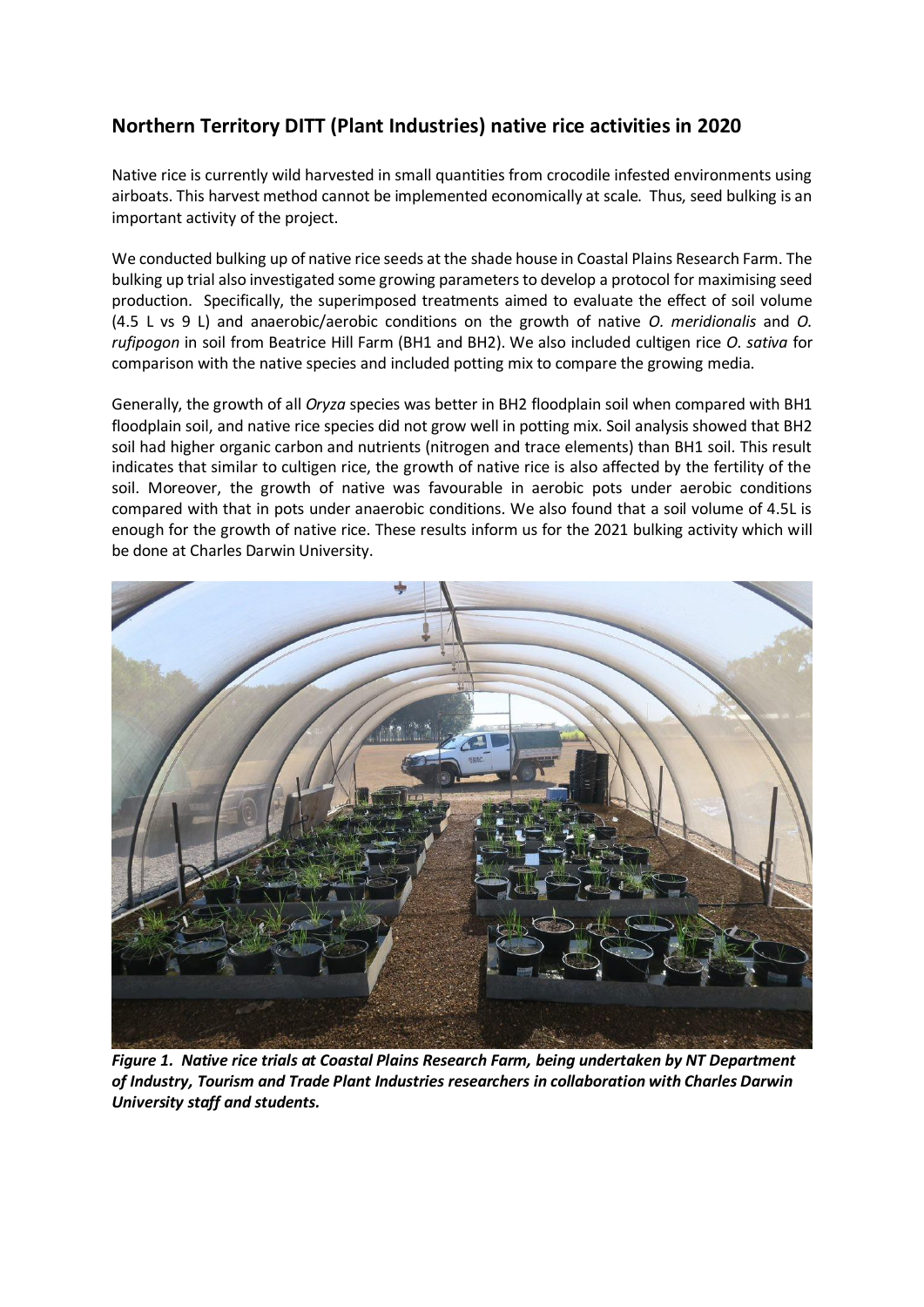## **Northern Territory DITT (Plant Industries) native rice activities in 2020**

Native rice is currently wild harvested in small quantities from crocodile infested environments using airboats. This harvest method cannot be implemented economically at scale. Thus, seed bulking is an important activity of the project.

We conducted bulking up of native rice seeds at the shade house in Coastal Plains Research Farm. The bulking up trial also investigated some growing parameters to develop a protocol for maximising seed production. Specifically, the superimposed treatments aimed to evaluate the effect of soil volume (4.5 L vs 9 L) and anaerobic/aerobic conditions on the growth of native *O. meridionalis* and *O. rufipogon* in soil from Beatrice Hill Farm (BH1 and BH2). We also included cultigen rice *O. sativa* for comparison with the native species and included potting mix to compare the growing media.

Generally, the growth of all *Oryza* species was better in BH2 floodplain soil when compared with BH1 floodplain soil, and native rice species did not grow well in potting mix. Soil analysis showed that BH2 soil had higher organic carbon and nutrients (nitrogen and trace elements) than BH1 soil. This result indicates that similar to cultigen rice, the growth of native rice is also affected by the fertility of the soil. Moreover, the growth of native was favourable in aerobic pots under aerobic conditions compared with that in pots under anaerobic conditions. We also found that a soil volume of 4.5L is enough for the growth of native rice. These results inform us for the 2021 bulking activity which will be done at Charles Darwin University.



*Figure 1. Native rice trials at Coastal Plains Research Farm, being undertaken by NT Department of Industry, Tourism and Trade Plant Industries researchers in collaboration with Charles Darwin University staff and students.*